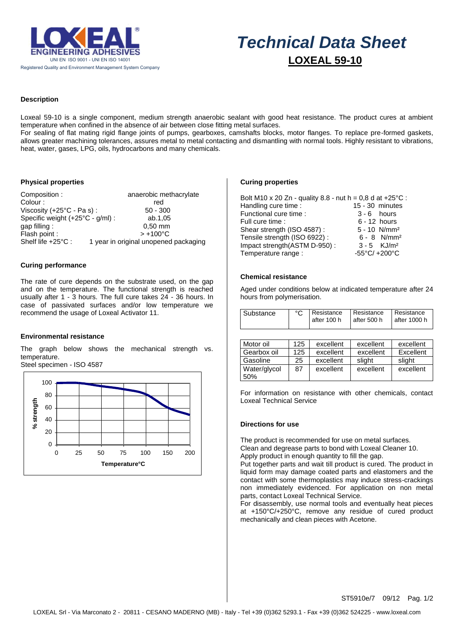

# $\overline{a}$  *Technical Data Sheet*  **LOXEAL 59-10**

# **Description**

Loxeal 59-10 is a single component, medium strength anaerobic sealant with good heat resistance. The product cures at ambient temperature when confined in the absence of air between close fitting metal surfaces.

For sealing of flat mating rigid flange joints of pumps, gearboxes, camshafts blocks, motor flanges. To replace pre-formed gaskets, allows greater machining tolerances, assures metal to metal contacting and dismantling with normal tools. Highly resistant to vibrations, heat, water, gases, LPG, oils, hydrocarbons and many chemicals.

# **Physical properties**

| Composition:                     | anaerobic methacrylate                |
|----------------------------------|---------------------------------------|
| Colour:                          | red                                   |
| Viscosity (+25°C - Pa s) :       | $50 - 300$                            |
| Specific weight (+25°C - g/ml) : | ab.1,05                               |
| gap filling:                     | $0.50$ mm                             |
| Flash point :                    | $> +100^{\circ}C$                     |
| Shelf life +25°C :               | 1 year in original unopened packaging |

# **Curing performance**

The rate of cure depends on the substrate used, on the gap and on the temperature. The functional strength is reached usually after 1 - 3 hours. The full cure takes 24 - 36 hours. In case of passivated surfaces and/or low temperature we recommend the usage of Loxeal Activator 11.

# **Environmental resistance**

The graph below shows the mechanical strength vs. temperature. Steel specimen - ISO 4587



#### **Curing properties**

| Bolt M10 x 20 Zn - quality 8.8 - nut h = 0,8 d at +25 °C : |                                   |
|------------------------------------------------------------|-----------------------------------|
| Handling cure time :                                       | $15 - 30$ minutes                 |
| Functional cure time :                                     | $3 - 6$ hours                     |
| Full cure time :                                           | $6 - 12$ hours                    |
| Shear strength (ISO 4587):                                 | $5 - 10$ N/mm <sup>2</sup>        |
| Tensile strength (ISO 6922):                               | $6 - 8$ N/mm <sup>2</sup>         |
| Impact strength(ASTM D-950):                               | $3 - 5$ KJ/m <sup>2</sup>         |
| Temperature range :                                        | $-55^{\circ}$ C/ $+200^{\circ}$ C |

#### **Chemical resistance**

Aged under conditions below at indicated temperature after 24 hours from polymerisation.

| Substance | Resistance<br>after 100 h | Resistance<br>after 500 h | Resistance<br>after 1000 h |
|-----------|---------------------------|---------------------------|----------------------------|
|           |                           |                           |                            |

| Motor oil           | 125 | excellent | excellent | excellent |
|---------------------|-----|-----------|-----------|-----------|
| Gearbox oil         | 125 | excellent | excellent | Excellent |
| Gasoline            | 25  | excellent | slight    | slight    |
| Water/glycol<br>50% | 87  | excellent | excellent | excellent |

For information on resistance with other chemicals, contact Loxeal Technical Service

#### **Directions for use**

The product is recommended for use on metal surfaces. Clean and degrease parts to bond with Loxeal Cleaner 10.

Apply product in enough quantity to fill the gap.

Put together parts and wait till product is cured. The product in liquid form may damage coated parts and elastomers and the contact with some thermoplastics may induce stress-crackings non immediately evidenced. For application on non metal parts, contact Loxeal Technical Service.

For disassembly, use normal tools and eventually heat pieces at +150°C/+250°C, remove any residue of cured product mechanically and clean pieces with Acetone.

ST5910e/7 09/12 Pag. 1/2